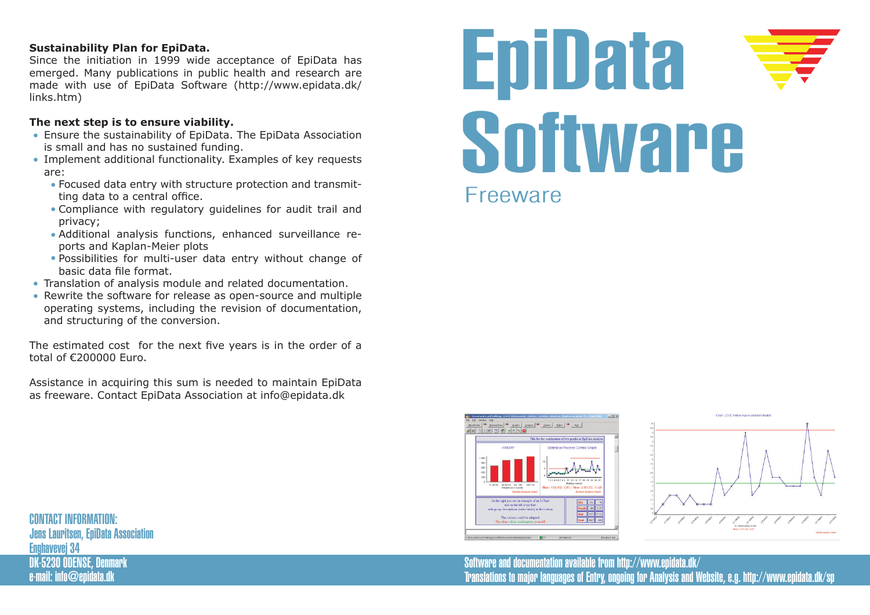# **Sustainability Plan for EpiData.**

Since the initiation in 1999 wide acceptance of EpiData has emerged. Many publications in public health and research are made with use of EpiData Software (http://www.epidata.dk/ links.htm)

# **The next step is to ensure viability.**

- Ensure the sustainability of EpiData. The EpiData Association is small and has no sustained funding.
- Implement additional functionality. Examples of key requests are:
	- Focused data entry with structure protection and transmitting data to a central office.
	- Compliance with regulatory guidelines for audit trail and privacy;
	- Additional analysis functions, enhanced surveillance reports and Kaplan-Meier plots
	- Possibilities for multi-user data entry without change of basic data file format.
- Translation of analysis module and related documentation.
- Rewrite the software for release as open-source and multiple operating systems, including the revision of documentation, and structuring of the conversion.

The estimated cost for the next five years is in the order of a total of €200000 Euro.

Assistance in acquiring this sum is needed to maintain EpiData as freeware. Contact EpiData Association at info@epidata.dk







Software and documentation available from http://www.epidata.dk/ Translations to major languages of Entry, ongoing for Analysis and Website, e.g. http://www.epidata.dk/sp

CONTACT INFORMATION: Jens Lauritsen, EpiData Association Enghavevej 34 DK-5230 ODENSE, Denmark e-mail: info@epidata.dk